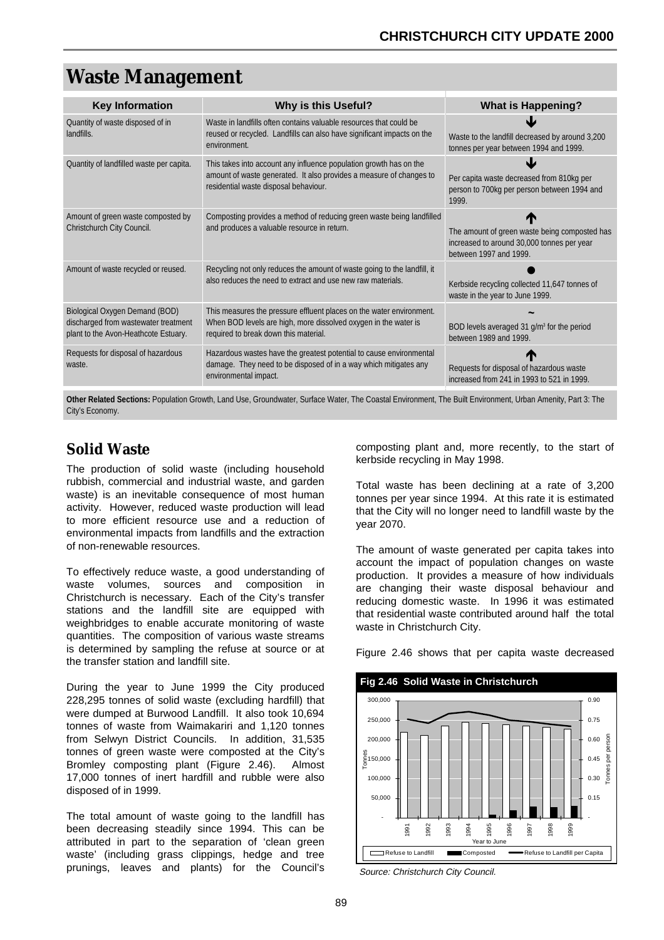# **Waste Management**

| <b>Key Information</b>                                                                                         | <b>Why is this Useful?</b>                                                                                                                                                         | <b>What is Happening?</b>                                                                                             |
|----------------------------------------------------------------------------------------------------------------|------------------------------------------------------------------------------------------------------------------------------------------------------------------------------------|-----------------------------------------------------------------------------------------------------------------------|
| Quantity of waste disposed of in<br>landfills.                                                                 | Waste in landfills often contains valuable resources that could be<br>reused or recycled. Landfills can also have significant impacts on the<br>environment.                       | Waste to the landfill decreased by around 3,200<br>tonnes per year between 1994 and 1999.                             |
| Quantity of landfilled waste per capita.                                                                       | This takes into account any influence population growth has on the<br>amount of waste generated. It also provides a measure of changes to<br>residential waste disposal behaviour. | Per capita waste decreased from 810kg per<br>person to 700kg per person between 1994 and<br>1999.                     |
| Amount of green waste composted by<br>Christchurch City Council.                                               | Composting provides a method of reducing green waste being landfilled<br>and produces a valuable resource in return.                                                               | The amount of green waste being composted has<br>increased to around 30,000 tonnes per year<br>between 1997 and 1999. |
| Amount of waste recycled or reused.                                                                            | Recycling not only reduces the amount of waste going to the landfill, it<br>also reduces the need to extract and use new raw materials.                                            | Kerbside recycling collected 11,647 tonnes of<br>waste in the year to June 1999.                                      |
| Biological Oxygen Demand (BOD)<br>discharged from wastewater treatment<br>plant to the Avon-Heathcote Estuary. | This measures the pressure effluent places on the water environment.<br>When BOD levels are high, more dissolved oxygen in the water is<br>required to break down this material.   | BOD levels averaged 31 $q/m3$ for the period<br>between 1989 and 1999.                                                |
| Requests for disposal of hazardous<br>waste.                                                                   | Hazardous wastes have the greatest potential to cause environmental<br>damage. They need to be disposed of in a way which mitigates any<br>environmental impact.                   | Requests for disposal of hazardous waste<br>increased from 241 in 1993 to 521 in 1999.                                |

**Other Related Sections:** Population Growth, Land Use, Groundwater, Surface Water, The Coastal Environment, The Built Environment, Urban Amenity, Part 3: The City's Economy.

## **Solid Waste**

The production of solid waste (including household rubbish, commercial and industrial waste, and garden waste) is an inevitable consequence of most human activity. However, reduced waste production will lead to more efficient resource use and a reduction of environmental impacts from landfills and the extraction of non-renewable resources.

To effectively reduce waste, a good understanding of waste volumes, sources and composition in Christchurch is necessary. Each of the City's transfer stations and the landfill site are equipped with weighbridges to enable accurate monitoring of waste quantities. The composition of various waste streams is determined by sampling the refuse at source or at the transfer station and landfill site.

During the year to June 1999 the City produced 228,295 tonnes of solid waste (excluding hardfill) that were dumped at Burwood Landfill. It also took 10,694 tonnes of waste from Waimakariri and 1,120 tonnes from Selwyn District Councils. In addition, 31,535 tonnes of green waste were composted at the City's Bromley composting plant (Figure 2.46). Almost 17,000 tonnes of inert hardfill and rubble were also disposed of in 1999.

The total amount of waste going to the landfill has been decreasing steadily since 1994. This can be attributed in part to the separation of 'clean green waste' (including grass clippings, hedge and tree prunings, leaves and plants) for the Council's

composting plant and, more recently, to the start of kerbside recycling in May 1998.

Total waste has been declining at a rate of 3,200 tonnes per year since 1994. At this rate it is estimated that the City will no longer need to landfill waste by the year 2070.

The amount of waste generated per capita takes into account the impact of population changes on waste production. It provides a measure of how individuals are changing their waste disposal behaviour and reducing domestic waste. In 1996 it was estimated that residential waste contributed around half the total waste in Christchurch City.

Figure 2.46 shows that per capita waste decreased



Source: Christchurch City Council.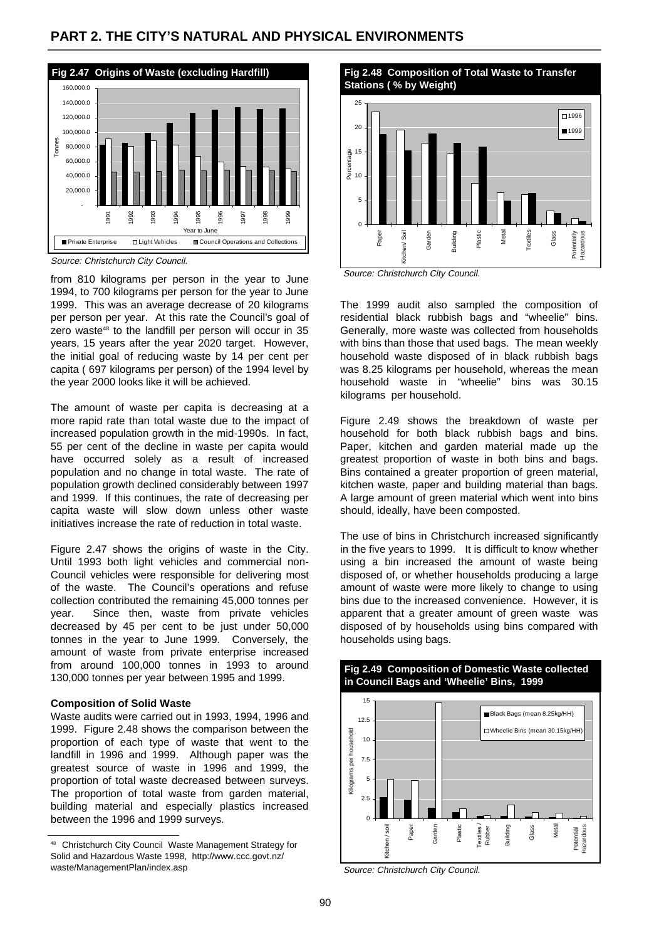

Source: Christchurch City Council.

from 810 kilograms per person in the year to June 1994, to 700 kilograms per person for the year to June 1999. This was an average decrease of 20 kilograms per person per year. At this rate the Council's goal of zero waste<sup>48</sup> to the landfill per person will occur in 35 years, 15 years after the year 2020 target. However, the initial goal of reducing waste by 14 per cent per capita ( 697 kilograms per person) of the 1994 level by the year 2000 looks like it will be achieved.

The amount of waste per capita is decreasing at a more rapid rate than total waste due to the impact of increased population growth in the mid-1990s. In fact, 55 per cent of the decline in waste per capita would have occurred solely as a result of increased population and no change in total waste. The rate of population growth declined considerably between 1997 and 1999. If this continues, the rate of decreasing per capita waste will slow down unless other waste initiatives increase the rate of reduction in total waste.

Figure 2.47 shows the origins of waste in the City. Until 1993 both light vehicles and commercial non-Council vehicles were responsible for delivering most of the waste. The Council's operations and refuse collection contributed the remaining 45,000 tonnes per year. Since then, waste from private vehicles decreased by 45 per cent to be just under 50,000 tonnes in the year to June 1999. Conversely, the amount of waste from private enterprise increased from around 100,000 tonnes in 1993 to around 130,000 tonnes per year between 1995 and 1999.

#### **Composition of Solid Waste**

Waste audits were carried out in 1993, 1994, 1996 and 1999. Figure 2.48 shows the comparison between the proportion of each type of waste that went to the landfill in 1996 and 1999. Although paper was the greatest source of waste in 1996 and 1999, the proportion of total waste decreased between surveys. The proportion of total waste from garden material, building material and especially plastics increased between the 1996 and 1999 surveys.

**Fig 2.48 Composition of Total Waste to Transfer Stations ( % by Weight)**  25 □1996 20 ■1999 itage 15 Percentage λeτ 10 5 0 Garden Plastic Paper Kitchen/Soil Kitchen/ Soil Metal Glass Building extiles Potentially Hazardous Hazardous

Source: Christchurch City Council.

The 1999 audit also sampled the composition of residential black rubbish bags and "wheelie" bins. Generally, more waste was collected from households with bins than those that used bags. The mean weekly household waste disposed of in black rubbish bags was 8.25 kilograms per household, whereas the mean household waste in "wheelie" bins was 30.15 kilograms per household.

Figure 2.49 shows the breakdown of waste per household for both black rubbish bags and bins. Paper, kitchen and garden material made up the greatest proportion of waste in both bins and bags. Bins contained a greater proportion of green material, kitchen waste, paper and building material than bags. A large amount of green material which went into bins should, ideally, have been composted.

The use of bins in Christchurch increased significantly in the five years to 1999. It is difficult to know whether using a bin increased the amount of waste being disposed of, or whether households producing a large amount of waste were more likely to change to using bins due to the increased convenience. However, it is apparent that a greater amount of green waste was disposed of by households using bins compared with households using bags.

**Fig 2.49 Composition of Domestic Waste collected** 



Source: Christchurch City Council.

[<sup>48</sup> Christchurch City Council Waste Management Strategy for](http://www.ccc.govt.nz/Waste/ManagementPlan/)  Solid and Hazardous Waste 1998, http://www.ccc.govt.nz/ waste/ManagementPlan/index.asp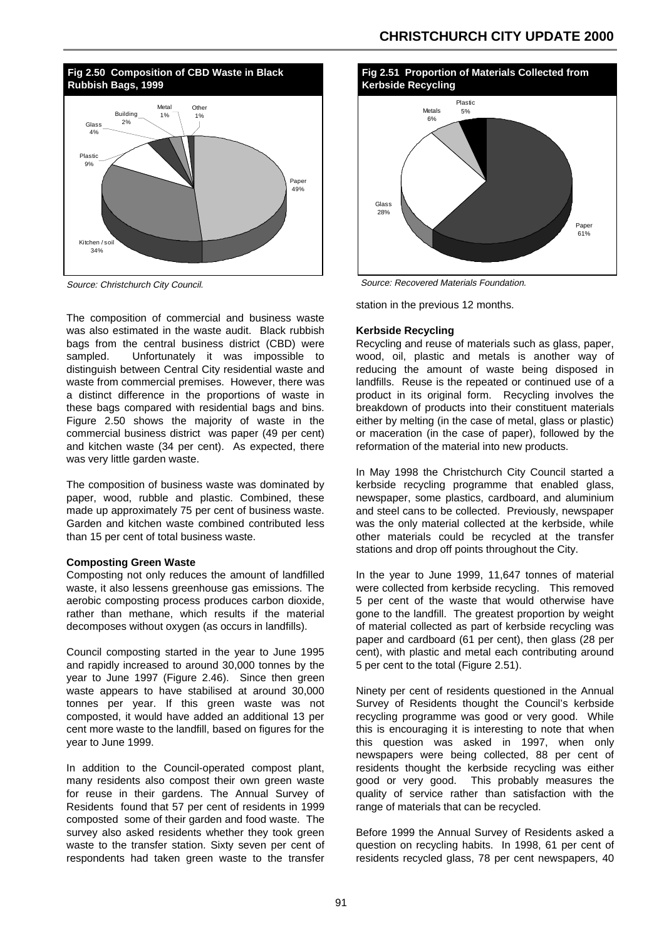### **CHRISTCHURCH CITY UPDATE 2000**



Source: Christchurch City Council.

The composition of commercial and business waste was also estimated in the waste audit. Black rubbish bags from the central business district (CBD) were sampled. Unfortunately it was impossible to distinguish between Central City residential waste and waste from commercial premises. However, there was a distinct difference in the proportions of waste in these bags compared with residential bags and bins. Figure 2.50 shows the majority of waste in the commercial business district was paper (49 per cent) and kitchen waste (34 per cent). As expected, there was very little garden waste.

The composition of business waste was dominated by paper, wood, rubble and plastic. Combined, these made up approximately 75 per cent of business waste. Garden and kitchen waste combined contributed less than 15 per cent of total business waste.

#### **Composting Green Waste**

Composting not only reduces the amount of landfilled waste, it also lessens greenhouse gas emissions. The aerobic composting process produces carbon dioxide, rather than methane, which results if the material decomposes without oxygen (as occurs in landfills).

Council composting started in the year to June 1995 and rapidly increased to around 30,000 tonnes by the year to June 1997 (Figure 2.46). Since then green waste appears to have stabilised at around 30,000 tonnes per year. If this green waste was not composted, it would have added an additional 13 per cent more waste to the landfill, based on figures for the year to June 1999.

In addition to the Council-operated compost plant, many residents also compost their own green waste for reuse in their gardens. The Annual Survey of Residents found that 57 per cent of residents in 1999 composted some of their garden and food waste. The survey also asked residents whether they took green waste to the transfer station. Sixty seven per cent of respondents had taken green waste to the transfer



Source: Recovered Materials Foundation.

station in the previous 12 months.

#### **Kerbside Recycling**

Recycling and reuse of materials such as glass, paper, wood, oil, plastic and metals is another way of reducing the amount of waste being disposed in landfills. Reuse is the repeated or continued use of a product in its original form. Recycling involves the breakdown of products into their constituent materials either by melting (in the case of metal, glass or plastic) or maceration (in the case of paper), followed by the reformation of the material into new products.

In May 1998 the Christchurch City Council started a kerbside recycling programme that enabled glass, newspaper, some plastics, cardboard, and aluminium and steel cans to be collected. Previously, newspaper was the only material collected at the kerbside, while other materials could be recycled at the transfer stations and drop off points throughout the City.

In the year to June 1999, 11,647 tonnes of material were collected from kerbside recycling. This removed 5 per cent of the waste that would otherwise have gone to the landfill. The greatest proportion by weight of material collected as part of kerbside recycling was paper and cardboard (61 per cent), then glass (28 per cent), with plastic and metal each contributing around 5 per cent to the total (Figure 2.51).

Ninety per cent of residents questioned in the Annual Survey of Residents thought the Council's kerbside recycling programme was good or very good. While this is encouraging it is interesting to note that when this question was asked in 1997, when only newspapers were being collected, 88 per cent of residents thought the kerbside recycling was either good or very good. This probably measures the quality of service rather than satisfaction with the range of materials that can be recycled.

Before 1999 the Annual Survey of Residents asked a question on recycling habits. In 1998, 61 per cent of residents recycled glass, 78 per cent newspapers, 40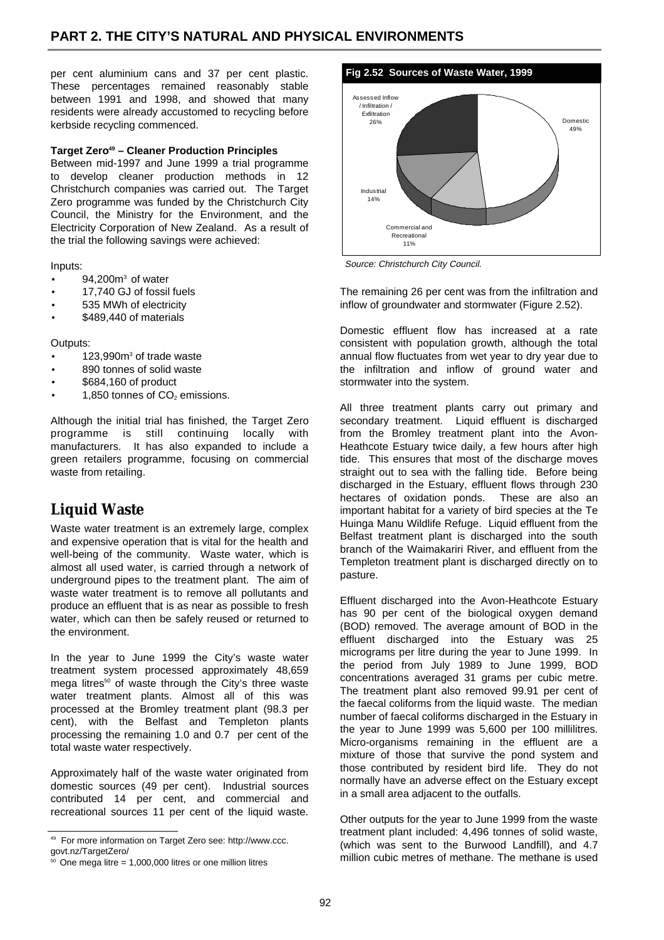per cent aluminium cans and 37 per cent plastic. These percentages remained reasonably stable between 1991 and 1998, and showed that many residents were already accustomed to recycling before kerbside recycling commenced.

#### **Target Zero49 – Cleaner Production Principles**

Between mid-1997 and June 1999 a trial programme to develop cleaner production methods in 12 Christchurch companies was carried out. The Target Zero programme was funded by the Christchurch City Council, the Ministry for the Environment, and the Electricity Corporation of New Zealand. As a result of the trial the following savings were achieved:

Inputs:

- $94.200<sup>m3</sup>$  of water
- 17,740 GJ of fossil fuels
- 535 MWh of electricity
- \$489,440 of materials

Outputs:

- $\bullet$  123,990 $\mathsf{m}^3$  of trade waste
- 890 tonnes of solid waste
- \$684,160 of product
- 1,850 tonnes of CO<sub>2</sub> emissions.

Although the initial trial has finished, the Target Zero programme is still continuing locally with manufacturers. It has also expanded to include a green retailers programme, focusing on commercial waste from retailing.

## **Liquid Waste**

Waste water treatment is an extremely large, complex and expensive operation that is vital for the health and well-being of the community. Waste water, which is almost all used water, is carried through a network of underground pipes to the treatment plant. The aim of waste water treatment is to remove all pollutants and produce an effluent that is as near as possible to fresh water, which can then be safely reused or returned to the environment.

In the year to June 1999 the City's waste water treatment system processed approximately 48,659 mega litres<sup>50</sup> of waste through the City's three waste water treatment plants. Almost all of this was processed at the Bromley treatment plant (98.3 per cent), with the Belfast and Templeton plants processing the remaining 1.0 and 0.7 per cent of the total waste water respectively.

Approximately half of the waste water originated from domestic sources (49 per cent). Industrial sources contributed 14 per cent, and commercial and recreational sources 11 per cent of the liquid waste.



Source: Christchurch City Council.

The remaining 26 per cent was from the infiltration and inflow of groundwater and stormwater (Figure 2.52).

Domestic effluent flow has increased at a rate consistent with population growth, although the total annual flow fluctuates from wet year to dry year due to the infiltration and inflow of ground water and stormwater into the system.

All three treatment plants carry out primary and secondary treatment. Liquid effluent is discharged from the Bromley treatment plant into the Avon-Heathcote Estuary twice daily, a few hours after high tide. This ensures that most of the discharge moves straight out to sea with the falling tide. Before being discharged in the Estuary, effluent flows through 230 hectares of oxidation ponds. These are also an important habitat for a variety of bird species at the Te Huinga Manu Wildlife Refuge. Liquid effluent from the Belfast treatment plant is discharged into the south branch of the Waimakariri River, and effluent from the Templeton treatment plant is discharged directly on to pasture.

Effluent discharged into the Avon-Heathcote Estuary has 90 per cent of the biological oxygen demand (BOD) removed. The average amount of BOD in the effluent discharged into the Estuary was 25 micrograms per litre during the year to June 1999. In the period from July 1989 to June 1999, BOD concentrations averaged 31 grams per cubic metre. The treatment plant also removed 99.91 per cent of the faecal coliforms from the liquid waste. The median number of faecal coliforms discharged in the Estuary in the year to June 1999 was 5,600 per 100 millilitres. Micro-organisms remaining in the effluent are a mixture of those that survive the pond system and those contributed by resident bird life. They do not normally have an adverse effect on the Estuary except in a small area adjacent to the outfalls.

Other outputs for the year to June 1999 from the waste treatment plant included: 4,496 tonnes of solid waste, (which was sent to the Burwood Landfill), and 4.7 million cubic metres of methane. The methane is used

[<sup>49</sup> For more information on Target Zero see: http://www.ccc.](http://www.ccc.govt.nz/TargetZero/) govt.nz/TargetZero/

 $50$  One mega litre = 1,000,000 litres or one million litres